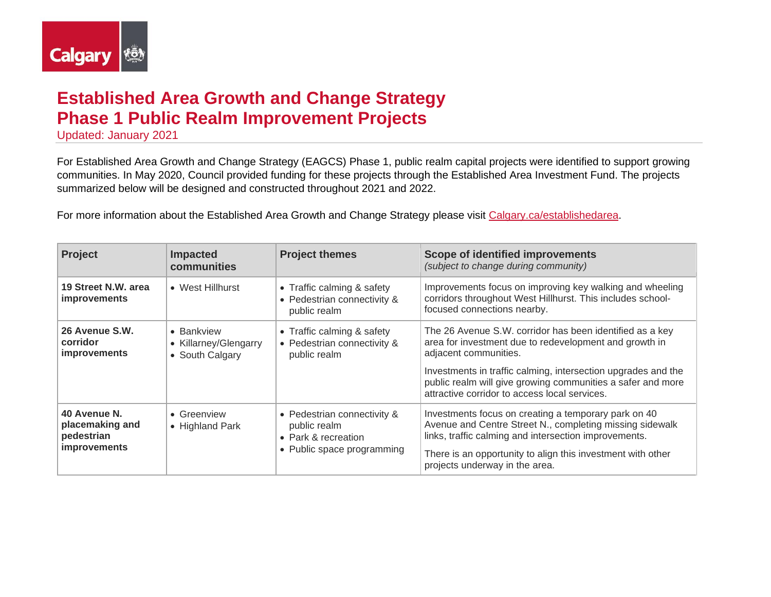

## **Established Area Growth and Change Strategy Phase 1 Public Realm Improvement Projects**

Updated: January 2021

For Established Area Growth and Change Strategy (EAGCS) Phase 1, public realm capital projects were identified to support growing communities. In May 2020, Council provided funding for these projects through the Established Area Investment Fund. The projects summarized below will be designed and constructed throughout 2021 and 2022.

For more information about the Established Area Growth and Change Strategy please visit [Calgary.ca/establishedarea.](https://www.calgary.ca/pda/pd/current-studies-and-ongoing-activities/established-areas-growth-and-change-strategy.html)

| <b>Project</b>                                                | <b>Impacted</b><br>communities                         | <b>Project themes</b>                                                                            | Scope of identified improvements<br>(subject to change during community)                                                                                                                                                                                                   |
|---------------------------------------------------------------|--------------------------------------------------------|--------------------------------------------------------------------------------------------------|----------------------------------------------------------------------------------------------------------------------------------------------------------------------------------------------------------------------------------------------------------------------------|
| 19 Street N.W. area<br><i>improvements</i>                    | • West Hillhurst                                       | • Traffic calming & safety<br>• Pedestrian connectivity &<br>public realm                        | Improvements focus on improving key walking and wheeling<br>corridors throughout West Hillhurst. This includes school-<br>focused connections nearby.                                                                                                                      |
| 26 Avenue S.W.<br>corridor<br><i>improvements</i>             | • Bankview<br>• Killarney/Glengarry<br>• South Calgary | • Traffic calming & safety<br>• Pedestrian connectivity &<br>public realm                        | The 26 Avenue S.W. corridor has been identified as a key<br>area for investment due to redevelopment and growth in<br>adjacent communities.                                                                                                                                |
|                                                               |                                                        |                                                                                                  | Investments in traffic calming, intersection upgrades and the<br>public realm will give growing communities a safer and more<br>attractive corridor to access local services.                                                                                              |
| 40 Avenue N.<br>placemaking and<br>pedestrian<br>improvements | • Greenview<br>• Highland Park                         | • Pedestrian connectivity &<br>public realm<br>• Park & recreation<br>• Public space programming | Investments focus on creating a temporary park on 40<br>Avenue and Centre Street N., completing missing sidewalk<br>links, traffic calming and intersection improvements.<br>There is an opportunity to align this investment with other<br>projects underway in the area. |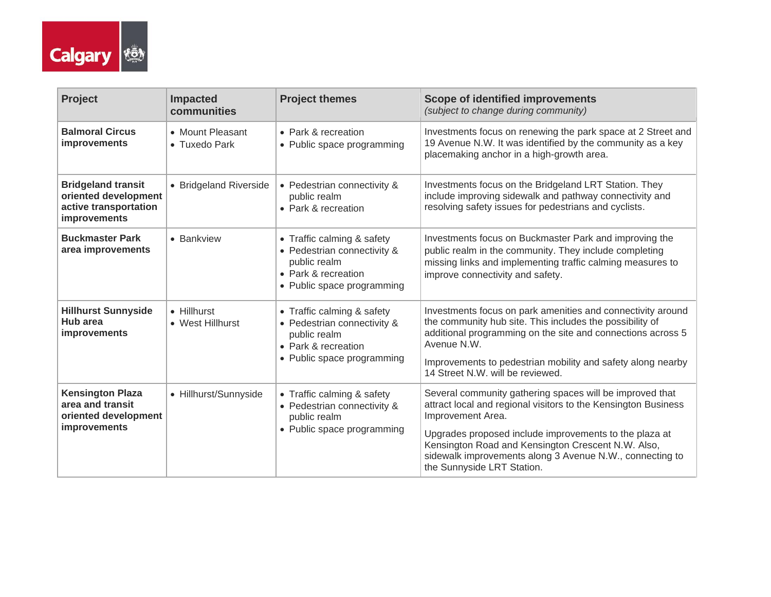

| Project                                                                                    | <b>Impacted</b><br>communities    | <b>Project themes</b>                                                                                                          | <b>Scope of identified improvements</b><br>(subject to change during community)                                                                                                                                                                                                                                                                           |
|--------------------------------------------------------------------------------------------|-----------------------------------|--------------------------------------------------------------------------------------------------------------------------------|-----------------------------------------------------------------------------------------------------------------------------------------------------------------------------------------------------------------------------------------------------------------------------------------------------------------------------------------------------------|
| <b>Balmoral Circus</b><br>improvements                                                     | • Mount Pleasant<br>• Tuxedo Park | • Park & recreation<br>• Public space programming                                                                              | Investments focus on renewing the park space at 2 Street and<br>19 Avenue N.W. It was identified by the community as a key<br>placemaking anchor in a high-growth area.                                                                                                                                                                                   |
| <b>Bridgeland transit</b><br>oriented development<br>active transportation<br>improvements | • Bridgeland Riverside            | • Pedestrian connectivity &<br>public realm<br>• Park & recreation                                                             | Investments focus on the Bridgeland LRT Station. They<br>include improving sidewalk and pathway connectivity and<br>resolving safety issues for pedestrians and cyclists.                                                                                                                                                                                 |
| <b>Buckmaster Park</b><br>area improvements                                                | • Bankview                        | • Traffic calming & safety<br>• Pedestrian connectivity &<br>public realm<br>• Park & recreation<br>• Public space programming | Investments focus on Buckmaster Park and improving the<br>public realm in the community. They include completing<br>missing links and implementing traffic calming measures to<br>improve connectivity and safety.                                                                                                                                        |
| <b>Hillhurst Sunnyside</b><br>Hub area<br><i>improvements</i>                              | • Hillhurst<br>• West Hillhurst   | • Traffic calming & safety<br>• Pedestrian connectivity &<br>public realm<br>• Park & recreation<br>• Public space programming | Investments focus on park amenities and connectivity around<br>the community hub site. This includes the possibility of<br>additional programming on the site and connections across 5<br>Avenue N.W.<br>Improvements to pedestrian mobility and safety along nearby<br>14 Street N.W. will be reviewed.                                                  |
| <b>Kensington Plaza</b><br>area and transit<br>oriented development<br>improvements        | • Hillhurst/Sunnyside             | • Traffic calming & safety<br>• Pedestrian connectivity &<br>public realm<br>• Public space programming                        | Several community gathering spaces will be improved that<br>attract local and regional visitors to the Kensington Business<br>Improvement Area.<br>Upgrades proposed include improvements to the plaza at<br>Kensington Road and Kensington Crescent N.W. Also,<br>sidewalk improvements along 3 Avenue N.W., connecting to<br>the Sunnyside LRT Station. |